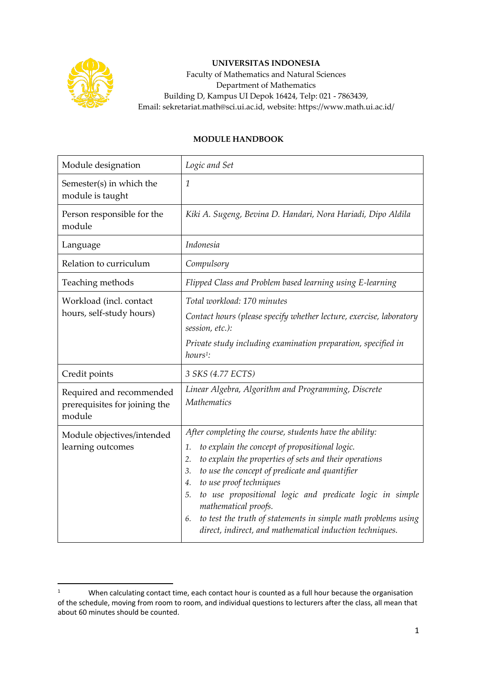

## **UNIVERSITAS INDONESIA**

Faculty of Mathematics and Natural Sciences Department of Mathematics Building D, Kampus UI Depok 16424, Telp: 021 - 7863439, Email: sekretariat.math@sci.ui.ac.id, website: https://www.math.ui.ac.id/

## **MODULE HANDBOOK**

| Module designation                                                  | Logic and Set                                                                                                                                                                                                                                                                                                                                                                                                                                                                                         |
|---------------------------------------------------------------------|-------------------------------------------------------------------------------------------------------------------------------------------------------------------------------------------------------------------------------------------------------------------------------------------------------------------------------------------------------------------------------------------------------------------------------------------------------------------------------------------------------|
| Semester(s) in which the<br>module is taught                        | 1                                                                                                                                                                                                                                                                                                                                                                                                                                                                                                     |
| Person responsible for the<br>module                                | Kiki A. Sugeng, Bevina D. Handari, Nora Hariadi, Dipo Aldila                                                                                                                                                                                                                                                                                                                                                                                                                                          |
| Language                                                            | Indonesia                                                                                                                                                                                                                                                                                                                                                                                                                                                                                             |
| Relation to curriculum                                              | Compulsory                                                                                                                                                                                                                                                                                                                                                                                                                                                                                            |
| Teaching methods                                                    | Flipped Class and Problem based learning using E-learning                                                                                                                                                                                                                                                                                                                                                                                                                                             |
| Workload (incl. contact<br>hours, self-study hours)                 | Total workload: 170 minutes<br>Contact hours (please specify whether lecture, exercise, laboratory<br>session, etc.):<br>Private study including examination preparation, specified in<br>hours <sup>1</sup> :                                                                                                                                                                                                                                                                                        |
| Credit points                                                       | 3 SKS (4.77 ECTS)                                                                                                                                                                                                                                                                                                                                                                                                                                                                                     |
| Required and recommended<br>prerequisites for joining the<br>module | Linear Algebra, Algorithm and Programming, Discrete<br><b>Mathematics</b>                                                                                                                                                                                                                                                                                                                                                                                                                             |
| Module objectives/intended<br>learning outcomes                     | After completing the course, students have the ability:<br>to explain the concept of propositional logic.<br>1.<br>to explain the properties of sets and their operations<br>2.<br>to use the concept of predicate and quantifier<br>3.<br>to use proof techniques<br>4.<br>to use propositional logic and predicate logic in simple<br>5.<br>mathematical proofs.<br>to test the truth of statements in simple math problems using<br>6.<br>direct, indirect, and mathematical induction techniques. |

<sup>&</sup>lt;sup>1</sup> When calculating contact time, each contact hour is counted as a full hour because the organisation of the schedule, moving from room to room, and individual questions to lecturers after the class, all mean that about 60 minutes should be counted.